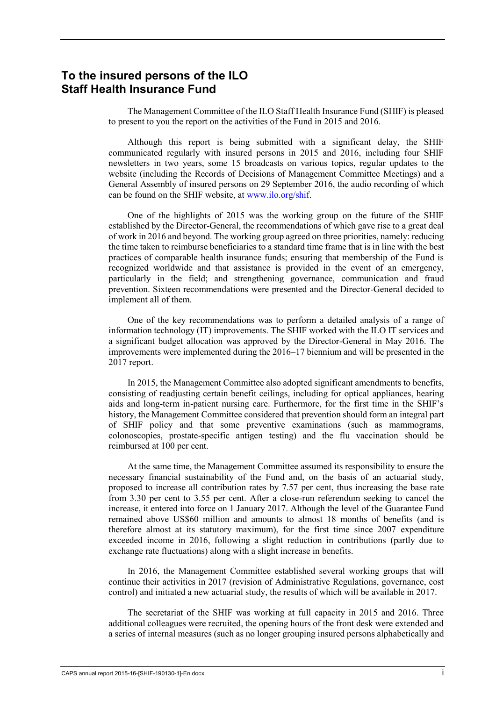### **To the insured persons of the ILO Staff Health Insurance Fund**

The Management Committee of the ILO Staff Health Insurance Fund (SHIF) is pleased to present to you the report on the activities of the Fund in 2015 and 2016.

Although this report is being submitted with a significant delay, the SHIF communicated regularly with insured persons in 2015 and 2016, including four SHIF newsletters in two years, some 15 broadcasts on various topics, regular updates to the website (including the Records of Decisions of Management Committee Meetings) and a General Assembly of insured persons on 29 September 2016, the audio recording of which can be found on the SHIF website, at [www.ilo.org/shif.](http://www.ilo.org/shif)

One of the highlights of 2015 was the working group on the future of the SHIF established by the Director-General, the recommendations of which gave rise to a great deal of work in 2016 and beyond. The working group agreed on three priorities, namely: reducing the time taken to reimburse beneficiaries to a standard time frame that is in line with the best practices of comparable health insurance funds; ensuring that membership of the Fund is recognized worldwide and that assistance is provided in the event of an emergency, particularly in the field; and strengthening governance, communication and fraud prevention. Sixteen recommendations were presented and the Director-General decided to implement all of them.

One of the key recommendations was to perform a detailed analysis of a range of information technology (IT) improvements. The SHIF worked with the ILO IT services and a significant budget allocation was approved by the Director-General in May 2016. The improvements were implemented during the 2016–17 biennium and will be presented in the 2017 report.

In 2015, the Management Committee also adopted significant amendments to benefits, consisting of readjusting certain benefit ceilings, including for optical appliances, hearing aids and long-term in-patient nursing care. Furthermore, for the first time in the SHIF's history, the Management Committee considered that prevention should form an integral part of SHIF policy and that some preventive examinations (such as mammograms, colonoscopies, prostate-specific antigen testing) and the flu vaccination should be reimbursed at 100 per cent.

At the same time, the Management Committee assumed its responsibility to ensure the necessary financial sustainability of the Fund and, on the basis of an actuarial study, proposed to increase all contribution rates by 7.57 per cent, thus increasing the base rate from 3.30 per cent to 3.55 per cent. After a close-run referendum seeking to cancel the increase, it entered into force on 1 January 2017. Although the level of the Guarantee Fund remained above US\$60 million and amounts to almost 18 months of benefits (and is therefore almost at its statutory maximum), for the first time since 2007 expenditure exceeded income in 2016, following a slight reduction in contributions (partly due to exchange rate fluctuations) along with a slight increase in benefits.

In 2016, the Management Committee established several working groups that will continue their activities in 2017 (revision of Administrative Regulations, governance, cost control) and initiated a new actuarial study, the results of which will be available in 2017.

The secretariat of the SHIF was working at full capacity in 2015 and 2016. Three additional colleagues were recruited, the opening hours of the front desk were extended and a series of internal measures (such as no longer grouping insured persons alphabetically and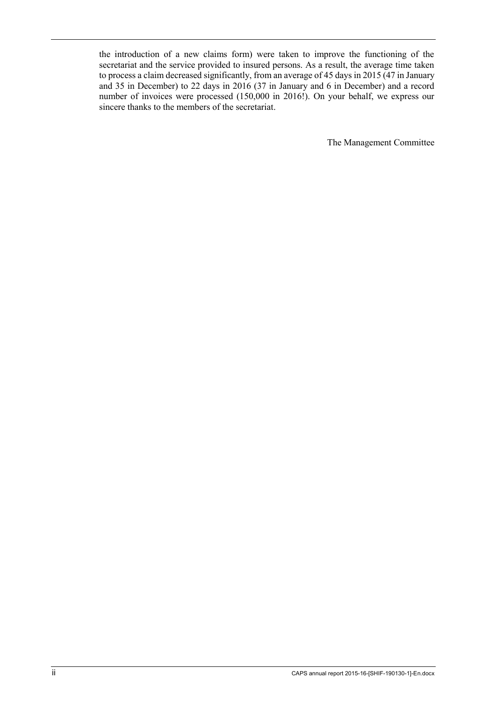the introduction of a new claims form) were taken to improve the functioning of the secretariat and the service provided to insured persons. As a result, the average time taken to process a claim decreased significantly, from an average of 45 days in 2015 (47 in January and 35 in December) to 22 days in 2016 (37 in January and 6 in December) and a record number of invoices were processed (150,000 in 2016!). On your behalf, we express our sincere thanks to the members of the secretariat.

The Management Committee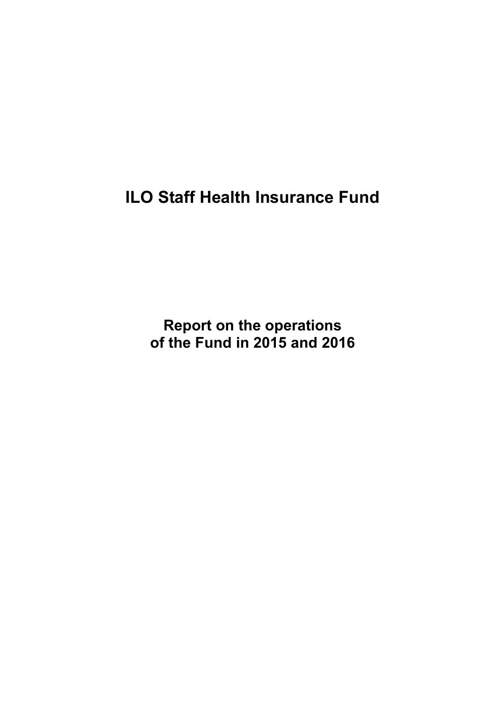**ILO Staff Health Insurance Fund**

**Report on the operations of the Fund in 2015 and 2016**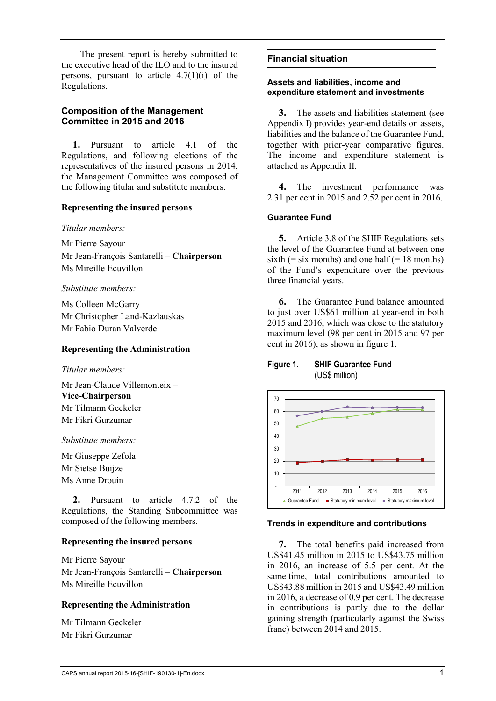The present report is hereby submitted to the executive head of the ILO and to the insured persons, pursuant to article  $4.7(1)(i)$  of the Regulations.

#### **Composition of the Management Committee in 2015 and 2016**

**1.** Pursuant to article 4.1 of the Regulations, and following elections of the representatives of the insured persons in 2014, the Management Committee was composed of the following titular and substitute members.

#### **Representing the insured persons**

*Titular members:*

Mr Pierre Sayour

Mr Jean-François Santarelli – **Chairperson** Ms Mireille Ecuvillon

*Substitute members:*

Ms Colleen McGarry Mr Christopher Land-Kazlauskas Mr Fabio Duran Valverde

#### **Representing the Administration**

*Titular members:*

Mr Jean-Claude Villemonteix – **Vice-Chairperson** Mr Tilmann Geckeler Mr Fikri Gurzumar

*Substitute members:*

Mr Giuseppe Zefola Mr Sietse Buijze Ms Anne Drouin

**2.** Pursuant to article 4.7.2 of the Regulations, the Standing Subcommittee was composed of the following members.

#### **Representing the insured persons**

Mr Pierre Sayour Mr Jean-François Santarelli – **Chairperson** Ms Mireille Ecuvillon

#### **Representing the Administration**

Mr Tilmann Geckeler Mr Fikri Gurzumar

#### **Financial situation**

#### **Assets and liabilities, income and expenditure statement and investments**

**3.** The assets and liabilities statement (see Appendix I) provides year-end details on assets, liabilities and the balance of the Guarantee Fund, together with prior-year comparative figures. The income and expenditure statement is attached as Appendix II.

**4.** The investment performance was 2.31 per cent in 2015 and 2.52 per cent in 2016.

#### **Guarantee Fund**

**5.** Article 3.8 of the SHIF Regulations sets the level of the Guarantee Fund at between one sixth  $(=$  six months) and one half  $(= 18 \text{ months})$ of the Fund's expenditure over the previous three financial years.

**6.** The Guarantee Fund balance amounted to just over US\$61 million at year-end in both 2015 and 2016, which was close to the statutory maximum level (98 per cent in 2015 and 97 per cent in 2016), as shown in figure 1.

#### **Figure 1. SHIF Guarantee Fund** (US\$ million)



#### **Trends in expenditure and contributions**

**7.** The total benefits paid increased from US\$41.45 million in 2015 to US\$43.75 million in 2016, an increase of 5.5 per cent. At the same time, total contributions amounted to US\$43.88 million in 2015 and US\$43.49 million in 2016, a decrease of 0.9 per cent. The decrease in contributions is partly due to the dollar gaining strength (particularly against the Swiss franc) between 2014 and 2015.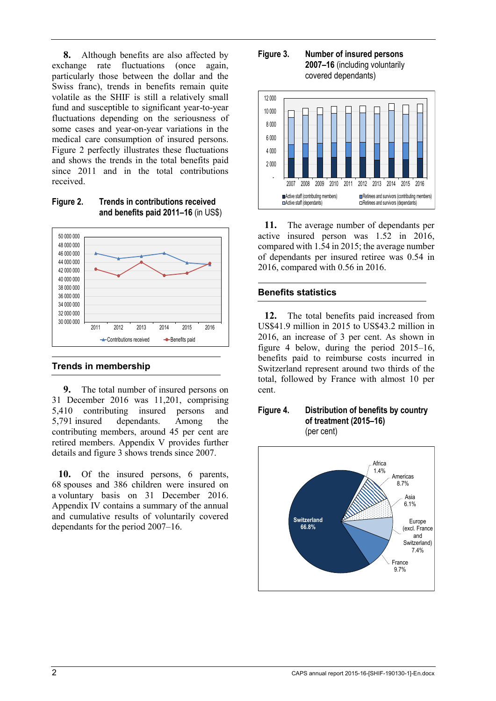**8.** Although benefits are also affected by exchange rate fluctuations (once again, particularly those between the dollar and the Swiss franc), trends in benefits remain quite volatile as the SHIF is still a relatively small fund and susceptible to significant year-to-year fluctuations depending on the seriousness of some cases and year-on-year variations in the medical care consumption of insured persons. Figure 2 perfectly illustrates these fluctuations and shows the trends in the total benefits paid since 2011 and in the total contributions received.

**Figure 2. Trends in contributions received and benefits paid 2011–16** (in US\$)



#### **Trends in membership**

**9.** The total number of insured persons on 31 December 2016 was 11,201, comprising 5,410 contributing insured persons and 5,791 insured dependants. Among the contributing members, around 45 per cent are retired members. Appendix V provides further details and figure 3 shows trends since 2007.

**10.** Of the insured persons, 6 parents, 68 spouses and 386 children were insured on a voluntary basis on 31 December 2016. Appendix IV contains a summary of the annual and cumulative results of voluntarily covered dependants for the period 2007–16.

**Figure 3. Number of insured persons 2007–16** (including voluntarily covered dependants)



**11.** The average number of dependants per active insured person was 1.52 in 2016, compared with 1.54 in 2015; the average number of dependants per insured retiree was 0.54 in 2016, compared with 0.56 in 2016.

#### **Benefits statistics**

**12.** The total benefits paid increased from US\$41.9 million in 2015 to US\$43.2 million in 2016, an increase of 3 per cent. As shown in figure 4 below, during the period 2015–16, benefits paid to reimburse costs incurred in Switzerland represent around two thirds of the total, followed by France with almost 10 per cent.



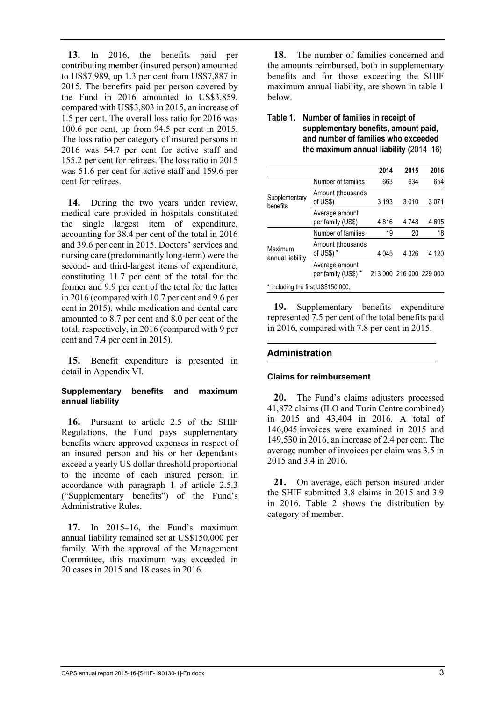**13.** In 2016, the benefits paid per contributing member (insured person) amounted to US\$7,989, up 1.3 per cent from US\$7,887 in 2015. The benefits paid per person covered by the Fund in 2016 amounted to US\$3,859, compared with US\$3,803 in 2015, an increase of 1.5 per cent. The overall loss ratio for 2016 was 100.6 per cent, up from 94.5 per cent in 2015. The loss ratio per category of insured persons in 2016 was 54.7 per cent for active staff and 155.2 per cent for retirees. The loss ratio in 2015 was 51.6 per cent for active staff and 159.6 per cent for retirees.

**14.** During the two years under review, medical care provided in hospitals constituted the single largest item of expenditure, accounting for 38.4 per cent of the total in 2016 and 39.6 per cent in 2015. Doctors' services and nursing care (predominantly long-term) were the second- and third-largest items of expenditure, constituting 11.7 per cent of the total for the former and 9.9 per cent of the total for the latter in 2016 (compared with 10.7 per cent and 9.6 per cent in 2015), while medication and dental care amounted to 8.7 per cent and 8.0 per cent of the total, respectively, in 2016 (compared with 9 per cent and 7.4 per cent in 2015).

**15.** Benefit expenditure is presented in detail in Appendix VI.

#### **Supplementary benefits and maximum annual liability**

**16.** Pursuant to article 2.5 of the SHIF Regulations, the Fund pays supplementary benefits where approved expenses in respect of an insured person and his or her dependants exceed a yearly US dollar threshold proportional to the income of each insured person, in accordance with paragraph 1 of article 2.5.3 ("Supplementary benefits") of the Fund's Administrative Rules.

**17.** In 2015–16, the Fund's maximum annual liability remained set at US\$150,000 per family. With the approval of the Management Committee, this maximum was exceeded in 20 cases in 2015 and 18 cases in 2016.

**18.** The number of families concerned and the amounts reimbursed, both in supplementary benefits and for those exceeding the SHIF maximum annual liability, are shown in table 1 below.

#### **Table 1. Number of families in receipt of supplementary benefits, amount paid, and number of families who exceeded the maximum annual liability** (2014–16)

|                                    |                                       | 2014    | 2015                    | 2016    |  |  |  |  |
|------------------------------------|---------------------------------------|---------|-------------------------|---------|--|--|--|--|
|                                    | Number of families                    | 663     | 634                     | 654     |  |  |  |  |
| Supplementary<br>benefits          | Amount (thousands<br>of US\$)         | 3 1 9 3 | 3010                    | 3071    |  |  |  |  |
|                                    | Average amount<br>per family (US\$)   | 4816    | 4748                    | 4695    |  |  |  |  |
| Maximum<br>annual liability        | Number of families                    | 19      | 20                      | 18      |  |  |  |  |
|                                    | Amount (thousands<br>of US\$) *       | 4 045   | 4 3 2 6                 | 4 1 2 0 |  |  |  |  |
|                                    | Average amount<br>per family (US\$) * |         | 213 000 216 000 229 000 |         |  |  |  |  |
| * including the first US\$150,000. |                                       |         |                         |         |  |  |  |  |

**19.** Supplementary benefits expenditure represented 7.5 per cent of the total benefits paid in 2016, compared with 7.8 per cent in 2015.

#### **Administration**

#### **Claims for reimbursement**

**20.** The Fund's claims adjusters processed 41,872 claims (ILO and Turin Centre combined) in 2015 and 43,404 in 2016. A total of 146,045 invoices were examined in 2015 and 149,530 in 2016, an increase of 2.4 per cent. The average number of invoices per claim was 3.5 in 2015 and 3.4 in 2016.

**21.** On average, each person insured under the SHIF submitted 3.8 claims in 2015 and 3.9 in 2016. Table 2 shows the distribution by category of member.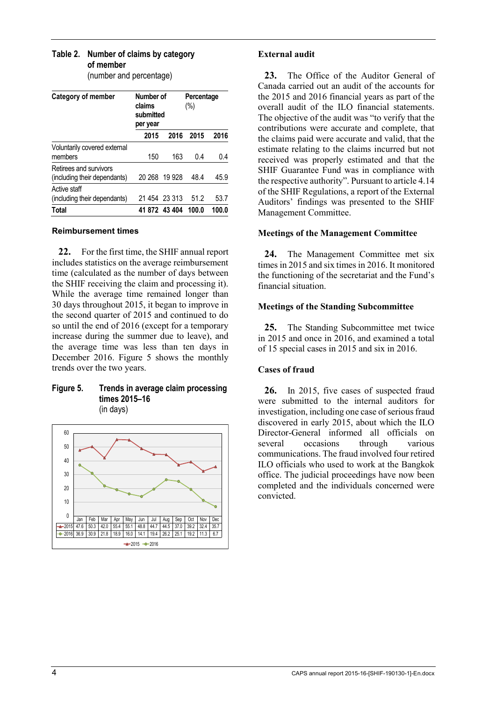#### **Table 2. Number of claims by category of member**

(number and percentage)

| <b>Category of member</b>                              | Number of<br>claims<br>submitted<br>per year |               | Percentage<br>(%) |       |  |
|--------------------------------------------------------|----------------------------------------------|---------------|-------------------|-------|--|
|                                                        | 2015                                         | 2016          | 2015              | 2016  |  |
| Voluntarily covered external<br>members                | 150                                          | 163           | 0.4               | 0.4   |  |
| Retirees and survivors<br>(including their dependants) |                                              | 20 268 19 928 | 48.4              | 45.9  |  |
| Active staff<br>(including their dependants)           |                                              | 21 454 23 313 | 51.2              | 53.7  |  |
| Total                                                  |                                              | 41 872 43 404 | 100.0             | 100.0 |  |

#### **Reimbursement times**

**22.** For the first time, the SHIF annual report includes statistics on the average reimbursement time (calculated as the number of days between the SHIF receiving the claim and processing it). While the average time remained longer than 30 days throughout 2015, it began to improve in the second quarter of 2015 and continued to do so until the end of 2016 (except for a temporary increase during the summer due to leave), and the average time was less than ten days in December 2016. Figure 5 shows the monthly trends over the two years.

#### **Figure 5. Trends in average claim processing times 2015–16** (in days)



#### **External audit**

**23.** The Office of the Auditor General of Canada carried out an audit of the accounts for the 2015 and 2016 financial years as part of the overall audit of the ILO financial statements. The objective of the audit was "to verify that the contributions were accurate and complete, that the claims paid were accurate and valid, that the estimate relating to the claims incurred but not received was properly estimated and that the SHIF Guarantee Fund was in compliance with the respective authority". Pursuant to article 4.14 of the SHIF Regulations, a report of the External Auditors' findings was presented to the SHIF Management Committee.

#### **Meetings of the Management Committee**

24. The Management Committee met six times in 2015 and six times in 2016. It monitored the functioning of the secretariat and the Fund's financial situation.

#### **Meetings of the Standing Subcommittee**

**25.** The Standing Subcommittee met twice in 2015 and once in 2016, and examined a total of 15 special cases in 2015 and six in 2016.

#### **Cases of fraud**

**26.** In 2015, five cases of suspected fraud were submitted to the internal auditors for investigation, including one case of serious fraud discovered in early 2015, about which the ILO Director-General informed all officials on several occasions through various communications. The fraud involved four retired ILO officials who used to work at the Bangkok office. The judicial proceedings have now been completed and the individuals concerned were convicted.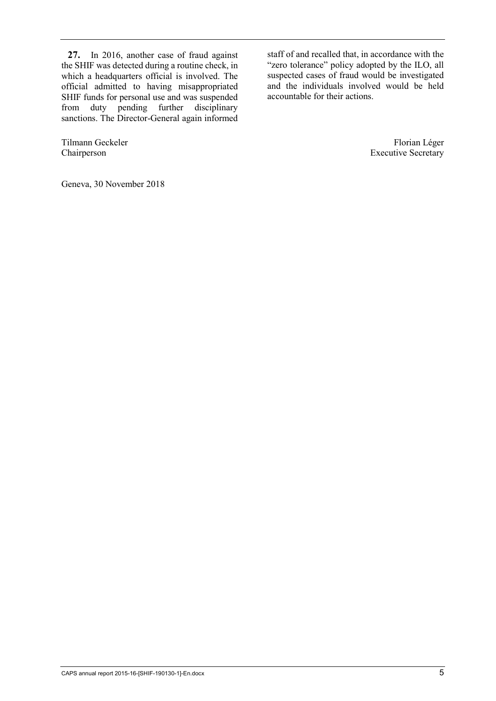**27.** In 2016, another case of fraud against the SHIF was detected during a routine check, in which a headquarters official is involved. The official admitted to having misappropriated SHIF funds for personal use and was suspended from duty pending further disciplinary sanctions. The Director-General again informed

Geneva, 30 November 2018

staff of and recalled that, in accordance with the "zero tolerance" policy adopted by the ILO, all suspected cases of fraud would be investigated and the individuals involved would be held accountable for their actions.

Tilmann Geckeler Florian Léger<br>Chairperson Executive Secretary Executive Secretary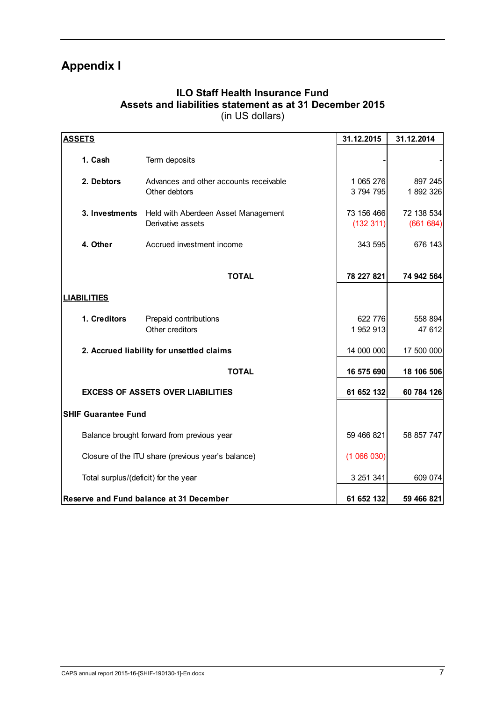## **Appendix I**

### **ILO Staff Health Insurance Fund Assets and liabilities statement as at 31 December 2015** (in US dollars)

| <b>ASSETS</b>                                      |                                                          | 31.12.2015              | 31.12.2014             |
|----------------------------------------------------|----------------------------------------------------------|-------------------------|------------------------|
| 1. Cash                                            | Term deposits                                            |                         |                        |
| 2. Debtors                                         | Advances and other accounts receivable<br>Other debtors  | 1 065 276<br>3794795    | 897 245<br>1892326     |
| 3. Investments                                     | Held with Aberdeen Asset Management<br>Derivative assets | 73 156 466<br>(132 311) | 72 138 534<br>(661684) |
| 4. Other                                           | Accrued investment income                                | 343 595                 | 676 143                |
|                                                    | <b>TOTAL</b>                                             | 78 227 821              | 74 942 564             |
| <b>LIABILITIES</b>                                 |                                                          |                         |                        |
| 1. Creditors                                       | Prepaid contributions<br>Other creditors                 | 622 776<br>1 952 913    | 558 894<br>47 612      |
|                                                    | 2. Accrued liability for unsettled claims                | 14 000 000              | 17 500 000             |
|                                                    | <b>TOTAL</b>                                             | 16 575 690              | 18 106 506             |
|                                                    | <b>EXCESS OF ASSETS OVER LIABILITIES</b>                 | 61 652 132              | 60 784 126             |
| <b>SHIF Guarantee Fund</b>                         |                                                          |                         |                        |
| Balance brought forward from previous year         | 59 466 821                                               | 58 857 747              |                        |
| Closure of the ITU share (previous year's balance) | (1066030)                                                |                         |                        |
| Total surplus/(deficit) for the year               | 3 251 341                                                | 609 074                 |                        |
| Reserve and Fund balance at 31 December            | 61 652 132                                               | 59 466 821              |                        |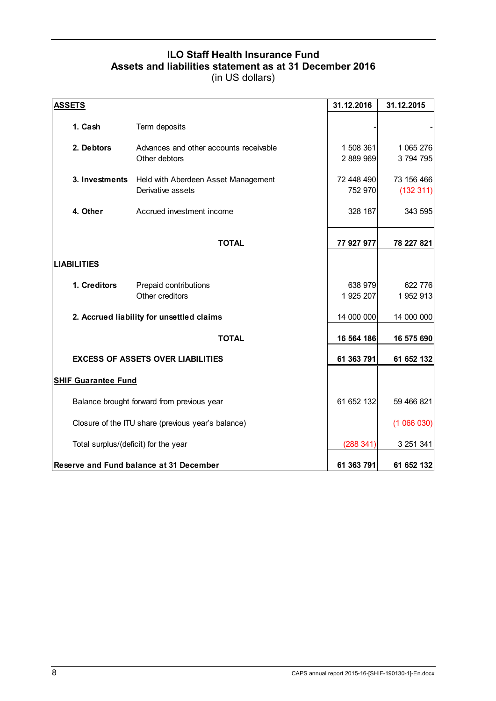## **ILO Staff Health Insurance Fund Assets and liabilities statement as at 31 December 2016**

| <b>ASSETS</b>                                      |                                                          | 31.12.2016             | 31.12.2015             |
|----------------------------------------------------|----------------------------------------------------------|------------------------|------------------------|
| 1. Cash                                            | Term deposits                                            |                        |                        |
| 2. Debtors                                         | Advances and other accounts receivable<br>Other debtors  | 1 508 361<br>2 889 969 | 1 065 276<br>3794795   |
| 3. Investments                                     | Held with Aberdeen Asset Management<br>Derivative assets | 72 448 490<br>752 970  | 73 156 466<br>(132311) |
| 4. Other                                           | Accrued investment income                                | 328 187                | 343 595                |
|                                                    | <b>TOTAL</b>                                             | 77 927 977             | 78 227 821             |
| <b>LIABILITIES</b>                                 |                                                          |                        |                        |
| 1. Creditors                                       | Prepaid contributions<br>Other creditors                 | 638 979<br>1 925 207   | 622 776<br>1952913     |
|                                                    | 2. Accrued liability for unsettled claims                | 14 000 000             | 14 000 000             |
|                                                    | <b>TOTAL</b>                                             | 16 564 186             | 16 575 690             |
|                                                    | <b>EXCESS OF ASSETS OVER LIABILITIES</b>                 | 61 363 791             | 61 652 132             |
| <b>SHIF Guarantee Fund</b>                         |                                                          |                        |                        |
| Balance brought forward from previous year         | 61 652 132                                               | 59 466 821             |                        |
| Closure of the ITU share (previous year's balance) |                                                          | (1066030)              |                        |
| Total surplus/(deficit) for the year               | (288 341)                                                | 3 251 341              |                        |
| Reserve and Fund balance at 31 December            | 61 363 791                                               | 61 652 132             |                        |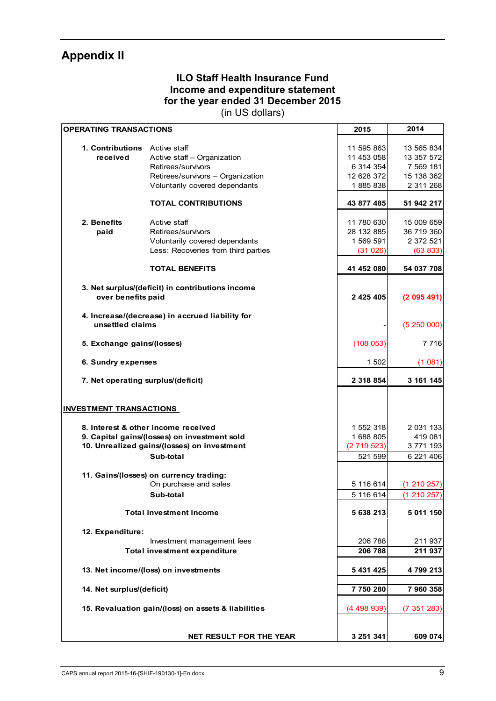## **Appendix II**

## **ILO Staff Health Insurance Fund Income and expenditure statement for the year ended 31 December 2015**

| <b>OPERATING TRANSACTIONS</b>      | 2015                                                | 2014       |             |
|------------------------------------|-----------------------------------------------------|------------|-------------|
|                                    |                                                     |            |             |
| 1. Contributions Active staff      |                                                     | 11 595 863 | 13 565 834  |
| received                           | Active staff - Organization                         | 11 453 058 | 13 357 572  |
|                                    | Retirees/survivors                                  | 6 314 354  | 7 569 181   |
|                                    | Retirees/survivors - Organization                   | 12 628 372 | 15 138 362  |
|                                    | Voluntarily covered dependants                      | 1885838    | 2 311 268   |
|                                    | <b>TOTAL CONTRIBUTIONS</b>                          | 43 877 485 | 51 942 217  |
|                                    |                                                     |            |             |
| 2. Benefits                        | Active staff                                        | 11 780 630 | 15 009 659  |
| paid                               | Retirees/survivors                                  | 28 132 885 | 36 719 360  |
|                                    | Voluntarily covered dependants                      | 1 569 591  | 2 372 521   |
|                                    | Less: Recoveries from third parties                 | (31026)    | (63 833)    |
|                                    | <b>TOTAL BENEFITS</b>                               | 41 452 080 | 54 037 708  |
|                                    | 3. Net surplus/(deficit) in contributions income    |            |             |
| over benefits paid                 |                                                     | 2 425 405  | (2095491)   |
|                                    | 4. Increase/(decrease) in accrued liability for     |            |             |
| unsettled claims                   |                                                     |            | (5250000)   |
| 5. Exchange gains/(losses)         | (108053)                                            | 7 7 1 6    |             |
| 6. Sundry expenses                 | 1 502                                               | (1081)     |             |
| 7. Net operating surplus/(deficit) | 2 318 854                                           | 3 161 145  |             |
|                                    |                                                     |            |             |
| <b>INVESTMENT TRANSACTIONS</b>     |                                                     |            |             |
|                                    | 8. Interest & other income received                 | 1 552 318  | 2 031 133   |
|                                    | 9. Capital gains/(losses) on investment sold        | 1 688 805  | 419 081     |
|                                    | 10. Unrealized gains/(losses) on investment         | (2719523)  | 3771193     |
|                                    | Sub-total                                           | 521 599    | 6 221 406   |
|                                    |                                                     |            |             |
|                                    | 11. Gains/(losses) on currency trading:             |            |             |
|                                    | On purchase and sales                               | 5 116 614  | (1 210 257) |
|                                    | Sub-total                                           | 5 116 614  | (1210257)   |
|                                    | <b>Total investment income</b>                      | 5 638 213  | 5 011 150   |
|                                    |                                                     |            |             |
| 12. Expenditure:                   |                                                     |            |             |
|                                    | Investment management fees                          | 206 788    | 211 937     |
|                                    | <b>Total investment expenditure</b>                 | 206 788    | 211 937     |
|                                    | 13. Net income/(loss) on investments                | 5 431 425  | 4799213     |
| 14. Net surplus/(deficit)          |                                                     | 7750280    | 7 960 358   |
|                                    |                                                     |            |             |
|                                    | 15. Revaluation gain/(loss) on assets & liabilities | (4498939)  | (7351283)   |
|                                    |                                                     |            |             |
|                                    | NET RESULT FOR THE YEAR                             | 3 251 341  | 609 074     |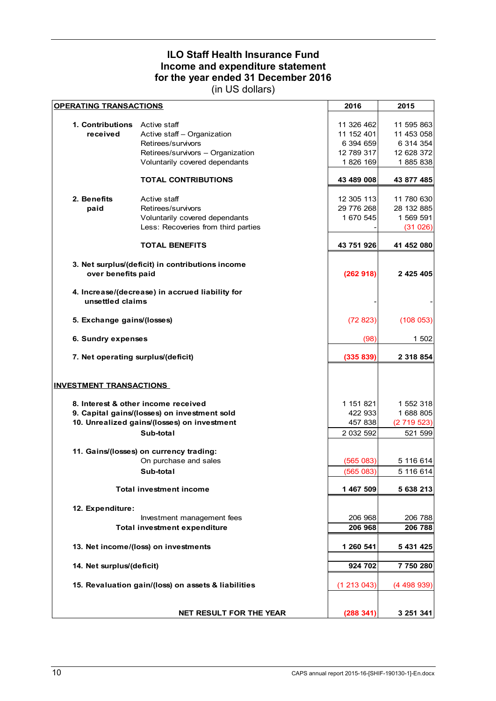## **ILO Staff Health Insurance Fund Income and expenditure statement for the year ended 31 December 2016**

| <b>OPERATING TRANSACTIONS</b>      | 2016                                                | 2015       |            |  |  |  |  |
|------------------------------------|-----------------------------------------------------|------------|------------|--|--|--|--|
|                                    |                                                     |            |            |  |  |  |  |
| 1. Contributions                   | Active staff                                        | 11 326 462 | 11 595 863 |  |  |  |  |
| received                           | Active staff - Organization                         | 11 152 401 | 11 453 058 |  |  |  |  |
|                                    | Retirees/survivors                                  | 6 394 659  | 6 314 354  |  |  |  |  |
|                                    | Retirees/survivors - Organization                   | 12 789 317 | 12 628 372 |  |  |  |  |
|                                    | Voluntarily covered dependants                      | 1826 169   | 1885838    |  |  |  |  |
|                                    | <b>TOTAL CONTRIBUTIONS</b>                          | 43 489 008 | 43 877 485 |  |  |  |  |
| 2. Benefits                        | Active staff                                        | 12 305 113 | 11 780 630 |  |  |  |  |
| paid                               | Retirees/survivors                                  | 29 776 268 | 28 132 885 |  |  |  |  |
|                                    | Voluntarily covered dependants                      | 1 670 545  | 1 569 591  |  |  |  |  |
|                                    | Less: Recoveries from third parties                 |            | (31026)    |  |  |  |  |
|                                    |                                                     |            |            |  |  |  |  |
|                                    | <b>TOTAL BENEFITS</b>                               | 43 751 926 | 41 452 080 |  |  |  |  |
|                                    | 3. Net surplus/(deficit) in contributions income    |            |            |  |  |  |  |
| over benefits paid                 |                                                     | (262918)   | 2 425 405  |  |  |  |  |
|                                    |                                                     |            |            |  |  |  |  |
|                                    | 4. Increase/(decrease) in accrued liability for     |            |            |  |  |  |  |
| unsettled claims                   |                                                     |            |            |  |  |  |  |
| 5. Exchange gains/(losses)         | (72823)                                             | (108053)   |            |  |  |  |  |
| 6. Sundry expenses                 | (98)                                                | 1 502      |            |  |  |  |  |
| 7. Net operating surplus/(deficit) | (335 839)                                           | 2 318 854  |            |  |  |  |  |
|                                    |                                                     |            |            |  |  |  |  |
| <b>INVESTMENT TRANSACTIONS</b>     |                                                     |            |            |  |  |  |  |
|                                    | 8. Interest & other income received                 | 1 151 821  | 1 552 318  |  |  |  |  |
|                                    | 9. Capital gains/(losses) on investment sold        | 422 933    | 1 688 805  |  |  |  |  |
|                                    | 10. Unrealized gains/(losses) on investment         | 457 838    | (2719523)  |  |  |  |  |
|                                    |                                                     |            |            |  |  |  |  |
|                                    | Sub-total                                           | 2 032 592  | 521 599    |  |  |  |  |
|                                    | 11. Gains/(losses) on currency trading:             |            |            |  |  |  |  |
|                                    | On purchase and sales                               | (565083)   | 5 116 614  |  |  |  |  |
|                                    | Sub-total                                           | (565083)   | 5 116 614  |  |  |  |  |
|                                    |                                                     |            |            |  |  |  |  |
|                                    | <b>Total investment income</b>                      | 1 467 509  | 5 638 213  |  |  |  |  |
| 12. Expenditure:                   |                                                     |            |            |  |  |  |  |
|                                    | Investment management fees                          | 206 968    | 206 788    |  |  |  |  |
|                                    | <b>Total investment expenditure</b>                 | 206 968    | 206 788    |  |  |  |  |
|                                    |                                                     |            |            |  |  |  |  |
|                                    | 13. Net income/(loss) on investments                | 1 260 541  | 5 431 425  |  |  |  |  |
| 14. Net surplus/(deficit)          |                                                     | 924 702    | 7 750 280  |  |  |  |  |
|                                    |                                                     |            |            |  |  |  |  |
|                                    | 15. Revaluation gain/(loss) on assets & liabilities |            |            |  |  |  |  |
|                                    |                                                     |            |            |  |  |  |  |
|                                    | <b>NET RESULT FOR THE YEAR</b>                      | (288 341)  | 3 251 341  |  |  |  |  |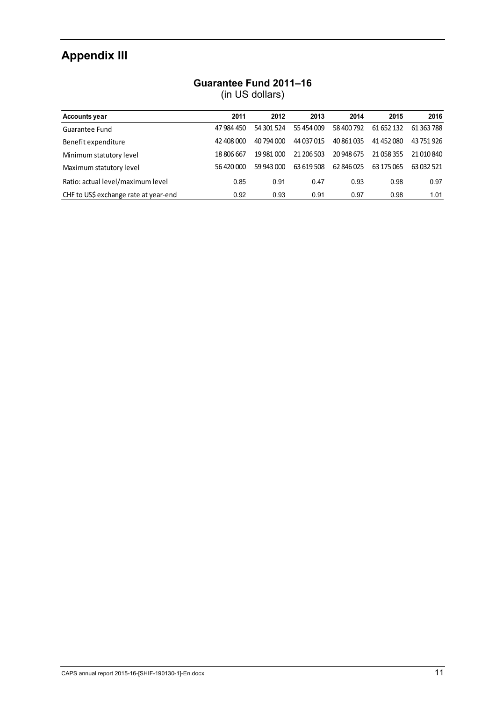# **Appendix III**

## **Guarantee Fund 2011–16**

| <b>Accounts year</b>                  | 2011       | 2012       | 2013       | 2014       | 2015       | 2016       |
|---------------------------------------|------------|------------|------------|------------|------------|------------|
| Guarantee Fund                        | 47 984 450 | 54 301 524 | 55 454 009 | 58 400 792 | 61 652 132 | 61 363 788 |
| Benefit expenditure                   | 42 408 000 | 40 794 000 | 44 037 015 | 40 861 035 | 41 452 080 | 43 751 926 |
| Minimum statutory level               | 18 806 667 | 19 981 000 | 21 206 503 | 20 948 675 | 21 058 355 | 21 010 840 |
| Maximum statutory level               | 56 420 000 | 59 943 000 | 63 619 508 | 62 846 025 | 63 175 065 | 63 032 521 |
| Ratio: actual level/maximum level     | 0.85       | 0.91       | 0.47       | 0.93       | 0.98       | 0.97       |
| CHF to US\$ exchange rate at year-end | 0.92       | 0.93       | 0.91       | 0.97       | 0.98       | 1.01       |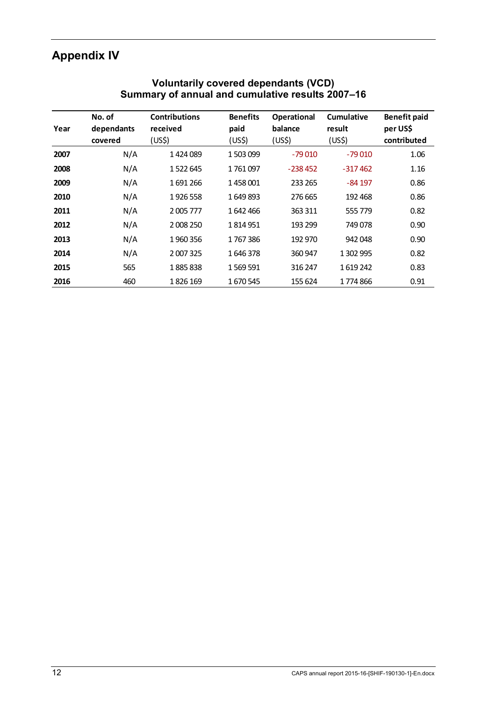# **Appendix IV**

|      | No. of                | <b>Contributions</b>           | <b>Benefits</b> | <b>Operational</b>            | Cumulative                   | <b>Benefit paid</b>     |
|------|-----------------------|--------------------------------|-----------------|-------------------------------|------------------------------|-------------------------|
| Year | dependants<br>covered | received<br>(US <sub>5</sub> ) | paid<br>(US\$)  | balance<br>(US <sub>5</sub> ) | result<br>(US <sub>5</sub> ) | per US\$<br>contributed |
| 2007 | N/A                   | 1424089                        | 1503099         | $-79010$                      | $-79010$                     | 1.06                    |
| 2008 | N/A                   | 1522645                        | 1761097         | $-238452$                     | $-317462$                    | 1.16                    |
| 2009 | N/A                   | 1691266                        | 1458001         | 233 265                       | $-84197$                     | 0.86                    |
| 2010 | N/A                   | 1926 558                       | 1649893         | 276 665                       | 192 468                      | 0.86                    |
| 2011 | N/A                   | 2 005 777                      | 1642466         | 363 311                       | 555 779                      | 0.82                    |
| 2012 | N/A                   | 2 008 250                      | 1814951         | 193 299                       | 749078                       | 0.90                    |
| 2013 | N/A                   | 1960356                        | 1767386         | 192 970                       | 942048                       | 0.90                    |
| 2014 | N/A                   | 2 007 325                      | 1646378         | 360 947                       | 1 302 995                    | 0.82                    |
| 2015 | 565                   | 1885838                        | 1569591         | 316 247                       | 1619242                      | 0.83                    |
| 2016 | 460                   | 1826 169                       | 1670545         | 155 624                       | 1774866                      | 0.91                    |

#### **Voluntarily covered dependants (VCD) Summary of annual and cumulative results 2007–16**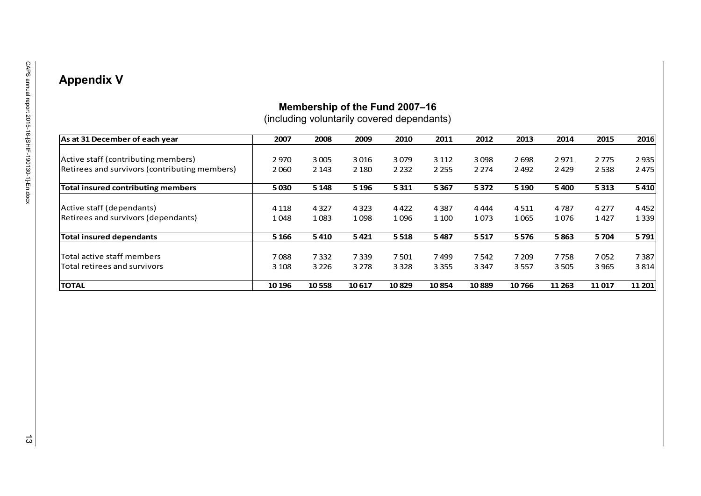## **Appendix V**

## **Membership of the Fund 2007–16**

(including voluntarily covered dependants)

| As at 31 December of each year                | 2007    | 2008    | 2009    | 2010    | 2011    | 2012    | 2013    | 2014    | 2015    | 2016   |
|-----------------------------------------------|---------|---------|---------|---------|---------|---------|---------|---------|---------|--------|
|                                               |         |         |         |         |         |         |         |         |         |        |
| Active staff (contributing members)           | 2970    | 3005    | 3016    | 3079    | 3 1 1 2 | 3098    | 2698    | 2971    | 2775    | 2935   |
| Retirees and survivors (contributing members) | 2060    | 2 1 4 3 | 2 1 8 0 | 2 2 3 2 | 2 2 5 5 | 2 2 7 4 | 2 4 9 2 | 2429    | 2538    | 2475   |
| <b>Total insured contributing members</b>     | 5030    | 5 1 4 8 | 5 1 9 6 | 5311    | 5367    | 5372    | 5 1 9 0 | 5400    | 5313    | 5410   |
|                                               |         |         |         |         |         |         |         |         |         |        |
| Active staff (dependants)                     | 4 1 1 8 | 4327    | 4 3 2 3 | 4422    | 4 3 8 7 | 4 4 4 4 | 4511    | 4787    | 4 2 7 7 | 4452   |
| Retirees and survivors (dependants)           | 1048    | 1083    | 1098    | 1096    | 1 1 0 0 | 1073    | 1065    | 1076    | 1427    | 1339   |
| <b>Total insured dependants</b>               | 5 1 6 6 | 5410    | 5421    | 5518    | 5487    | 5517    | 5576    | 5863    | 5704    | 5791   |
| Total active staff members                    | 7088    | 7332    | 7339    | 7501    | 7499    | 7542    | 7 2 0 9 | 7758    | 7052    | 7387   |
| Total retirees and survivors                  | 3 1 0 8 | 3 2 2 6 | 3 2 7 8 | 3 3 2 8 | 3 3 5 5 | 3 3 4 7 | 3557    | 3505    | 3965    | 3814   |
| <b>TOTAL</b>                                  | 10 196  | 10558   | 10617   | 10829   | 10854   | 10889   | 10766   | 11 2 63 | 11017   | 11 201 |